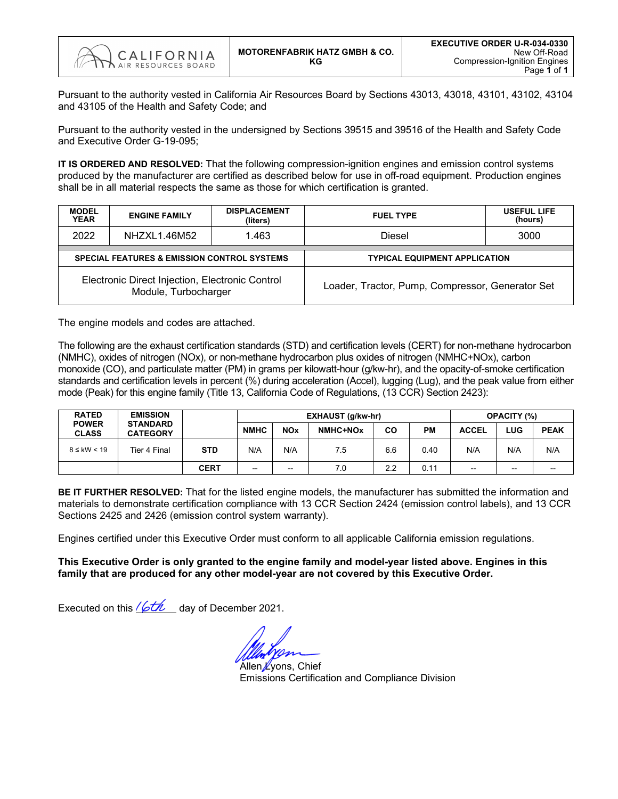

Pursuant to the authority vested in California Air Resources Board by Sections 43013, 43018, 43101, 43102, 43104 and 43105 of the Health and Safety Code; and

Pursuant to the authority vested in the undersigned by Sections 39515 and 39516 of the Health and Safety Code and Executive Order G-19-095;

**IT IS ORDERED AND RESOLVED:** That the following compression-ignition engines and emission control systems produced by the manufacturer are certified as described below for use in off-road equipment. Production engines shall be in all material respects the same as those for which certification is granted.

| <b>MODEL</b><br><b>YEAR</b> | <b>ENGINE FAMILY</b>                                                    | <b>DISPLACEMENT</b><br>(liters) | <b>FUEL TYPE</b>                                 | <b>USEFUL LIFE</b><br>(hours) |  |  |  |  |  |
|-----------------------------|-------------------------------------------------------------------------|---------------------------------|--------------------------------------------------|-------------------------------|--|--|--|--|--|
| 2022                        | NHZXL1.46M52                                                            | 1.463                           | Diesel                                           | 3000                          |  |  |  |  |  |
|                             | <b>SPECIAL FEATURES &amp; EMISSION CONTROL SYSTEMS</b>                  |                                 | <b>TYPICAL EQUIPMENT APPLICATION</b>             |                               |  |  |  |  |  |
|                             | Electronic Direct Injection, Electronic Control<br>Module, Turbocharger |                                 | Loader, Tractor, Pump, Compressor, Generator Set |                               |  |  |  |  |  |

The engine models and codes are attached.

The following are the exhaust certification standards (STD) and certification levels (CERT) for non-methane hydrocarbon (NMHC), oxides of nitrogen (NOx), or non-methane hydrocarbon plus oxides of nitrogen (NMHC+NOx), carbon monoxide (CO), and particulate matter (PM) in grams per kilowatt-hour (g/kw-hr), and the opacity-of-smoke certification standards and certification levels in percent (%) during acceleration (Accel), lugging (Lug), and the peak value from either mode (Peak) for this engine family (Title 13, California Code of Regulations, (13 CCR) Section 2423):

| <b>RATED</b>                 | <b>EMISSION</b>                    |             |             |                          | <b>EXHAUST (g/kw-hr)</b> | <b>OPACITY (%)</b> |           |                          |       |             |
|------------------------------|------------------------------------|-------------|-------------|--------------------------|--------------------------|--------------------|-----------|--------------------------|-------|-------------|
| <b>POWER</b><br><b>CLASS</b> | <b>STANDARD</b><br><b>CATEGORY</b> |             | <b>NMHC</b> | <b>NO<sub>x</sub></b>    | NMHC+NOx                 | <b>CO</b>          | <b>PM</b> | <b>ACCEL</b>             | LUG   | <b>PEAK</b> |
| $8 \leq$ kW < 19             | Tier 4 Final                       | <b>STD</b>  | N/A         | N/A                      | 7.5                      | 6.6                | 0.40      | N/A                      | N/A   | N/A         |
|                              |                                    | <b>CERT</b> | --          | $\overline{\phantom{a}}$ | 7.0                      | 2.2                | 0.11      | $\overline{\phantom{a}}$ | $- -$ | --          |

**BE IT FURTHER RESOLVED:** That for the listed engine models, the manufacturer has submitted the information and materials to demonstrate certification compliance with 13 CCR Section 2424 (emission control labels), and 13 CCR Sections 2425 and 2426 (emission control system warranty).

Engines certified under this Executive Order must conform to all applicable California emission regulations.

**This Executive Order is only granted to the engine family and model-year listed above. Engines in this family that are produced for any other model-year are not covered by this Executive Order.**

Executed on this  $\sqrt{\mathcal{L}}$  day of December 2021.

Allen <u>Ky</u>ons, Chief Emissions Certification and Compliance Division